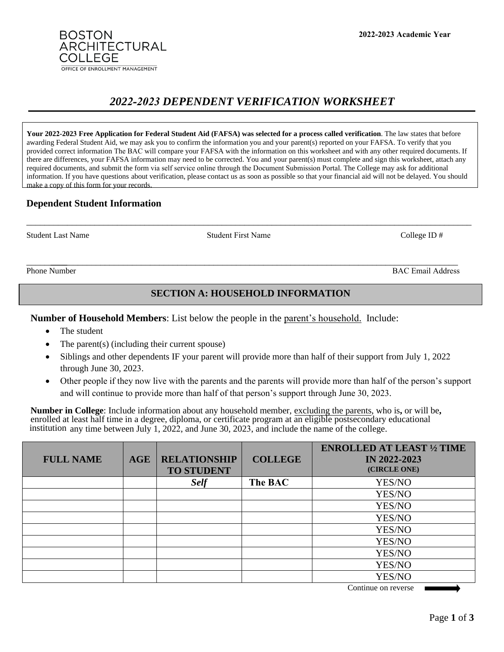**2022-2023 Academic Year**

# *2022-2023 DEPENDENT VERIFICATION WORKSHEET*

**Your 2022-2023 Free Application for Federal Student Aid (FAFSA) was selected for a process called verification**. The law states that before awarding Federal Student Aid, we may ask you to confirm the information you and your parent(s) reported on your FAFSA. To verify that you provided correct information The BAC will compare your FAFSA with the information on this worksheet and with any other required documents. If there are differences, your FAFSA information may need to be corrected. You and your parent(s) must complete and sign this worksheet, attach any required documents, and submit the form via self service online through the Document Submission Portal. The College may ask for additional information. If you have questions about verification, please contact us as soon as possible so that your financial aid will not be delayed. You should make a copy of this form for your records.

\_\_\_\_\_\_\_\_\_\_\_\_\_\_\_\_\_\_\_\_\_\_\_\_\_\_\_\_\_\_\_\_\_\_\_\_\_\_\_\_\_\_\_\_\_\_\_\_\_\_\_\_\_\_\_\_\_\_\_\_\_\_\_\_\_\_\_\_\_\_\_\_\_\_\_\_\_\_\_\_\_\_\_\_\_\_\_\_\_\_\_\_\_\_\_\_\_\_

## **Dependent Student Information**

**BOSTON** 

**COLLEGE** 

ARCHITECTURAL

OFFICE OF ENROLLMENT MANAGEMENT

Student Last Name College ID # Student First Name College ID # College ID #

\_\_\_\_\_\_\_\_\_ \_\_\_\_\_\_\_\_\_\_\_\_\_\_\_\_\_\_\_\_\_\_\_\_\_\_\_\_\_\_\_\_\_\_\_\_\_\_\_\_\_\_\_\_\_\_\_\_\_\_\_\_\_\_\_\_\_\_\_\_\_\_\_\_\_\_\_\_\_\_\_\_\_\_\_\_\_\_\_\_\_\_\_\_\_\_\_\_\_\_ Phone Number BAC Email Address

# **SECTION A: HOUSEHOLD INFORMATION**

**Number of Household Members**: List below the people in the parent's household. Include:

- The student
- The parent(s) (including their current spouse)
- Siblings and other dependents IF your parent will provide more than half of their support from July 1, 2022 through June 30, 2023.
- Other people if they now live with the parents and the parents will provide more than half of the person's support and will continue to provide more than half of that person's support through June 30, 2023.

**Number in College**: Include information about any household member, excluding the parents, who is**,** or will be**,**  enrolled at least half time in a degree, diploma, or certificate program at an eligible postsecondary educational institution any time between July 1, 2022, and June 30, 2023, and include the name of the college.

| <b>FULL NAME</b> | <b>AGE</b> | <b>RELATIONSHIP</b><br><b>TO STUDENT</b> | <b>COLLEGE</b> | <b>ENROLLED AT LEAST 1/2 TIME</b><br><b>IN 2022-2023</b><br>(CIRCLE ONE) |
|------------------|------------|------------------------------------------|----------------|--------------------------------------------------------------------------|
|                  |            | <b>Self</b>                              | The BAC        | YES/NO                                                                   |
|                  |            |                                          |                | YES/NO                                                                   |
|                  |            |                                          |                | YES/NO                                                                   |
|                  |            |                                          |                | YES/NO                                                                   |
|                  |            |                                          |                | YES/NO                                                                   |
|                  |            |                                          |                | YES/NO                                                                   |
|                  |            |                                          |                | YES/NO                                                                   |
|                  |            |                                          |                | YES/NO                                                                   |
|                  |            |                                          |                | YES/NO                                                                   |

Continue on reverse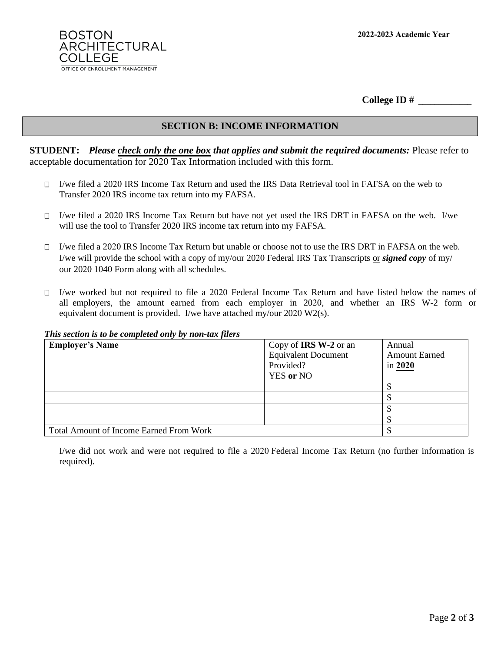

**College ID #** \_\_\_\_\_\_\_\_\_\_\_\_\_

## **SECTION B: INCOME INFORMATION**

**STUDENT:** *Please check only the one box that applies and submit the required documents:* Please refer to acceptable documentation for 2020 Tax Information included with this form.

- I/we filed a 2020 IRS Income Tax Return and used the IRS Data Retrieval tool in FAFSA on the web to Transfer 2020 IRS income tax return into my FAFSA.
- I/we filed a 2020 IRS Income Tax Return but have not yet used the IRS DRT in FAFSA on the web. I/we will use the tool to Transfer 2020 IRS income tax return into my FAFSA.
- $\Box$  I/we filed a 2020 IRS Income Tax Return but unable or choose not to use the IRS DRT in FAFSA on the web. I/we will provide the school with a copy of my/our 2020 Federal IRS Tax Transcripts or *signed copy* of my/ our 2020 1040 Form along with all schedules.
- $\Box$  I/we worked but not required to file a 2020 Federal Income Tax Return and have listed below the names of all employers, the amount earned from each employer in 2020, and whether an IRS W-2 form or equivalent document is provided. I/we have attached my/our 2020 W2(s).

#### *This section is to be completed only by non-tax filers*

| <b>Employer's Name</b>                         | Copy of <b>IRS W-2</b> or an<br><b>Equivalent Document</b><br>Provided?<br><b>YES</b> or NO | Annual<br><b>Amount Earned</b><br>in 2020 |
|------------------------------------------------|---------------------------------------------------------------------------------------------|-------------------------------------------|
|                                                |                                                                                             |                                           |
|                                                |                                                                                             |                                           |
|                                                |                                                                                             |                                           |
|                                                |                                                                                             |                                           |
| <b>Total Amount of Income Earned From Work</b> |                                                                                             |                                           |

I/we did not work and were not required to file a 2020 Federal Income Tax Return (no further information is required).